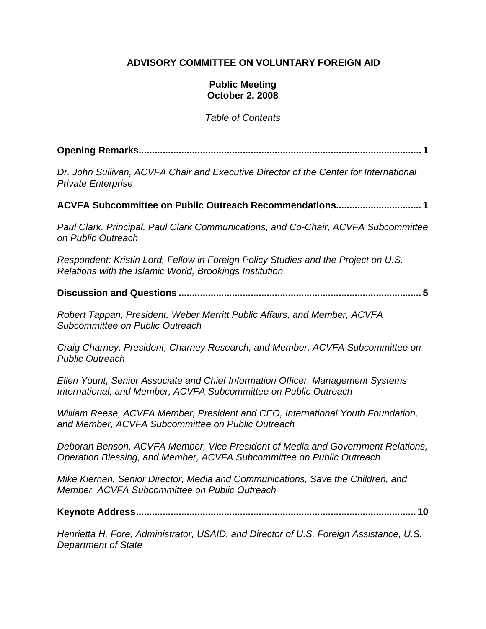### **ADVISORY COMMITTEE ON VOLUNTARY FOREIGN AID**

#### **Public Meeting October 2, 2008**

*Table of Contents* 

**Opening Remarks.......................................................................................................... 1**

*Dr. John Sullivan, ACVFA Chair and Executive Director of the Center for International Private Enterprise*

**ACVFA Subcommittee on Public Outreach Recommendations................................ 1**

*Paul Clark, Principal, Paul Clark Communications, and Co-Chair, ACVFA Subcommittee on Public Outreach* 

*Respondent: Kristin Lord, Fellow in Foreign Policy Studies and the Project on U.S. Relations with the Islamic World, Brookings Institution* 

**Discussion and Questions ........................................................................................... 5** 

*Robert Tappan, President, Weber Merritt Public Affairs, and Member, ACVFA Subcommittee on Public Outreach* 

*Craig Charney, President, Charney Research, and Member, ACVFA Subcommittee on Public Outreach* 

*Ellen Yount, Senior Associate and Chief Information Officer, Management Systems International, and Member, ACVFA Subcommittee on Public Outreach* 

*William Reese, ACVFA Member, President and CEO, International Youth Foundation, and Member, ACVFA Subcommittee on Public Outreach* 

*Deborah Benson, ACVFA Member, Vice President of Media and Government Relations, Operation Blessing, and Member, ACVFA Subcommittee on Public Outreach* 

*Mike Kiernan, Senior Director, Media and Communications, Save the Children, and Member, ACVFA Subcommittee on Public Outreach*

**Keynote Address......................................................................................................... 10**

*Henrietta H. Fore, Administrator, USAID, and Director of U.S. Foreign Assistance, U.S. Department of State*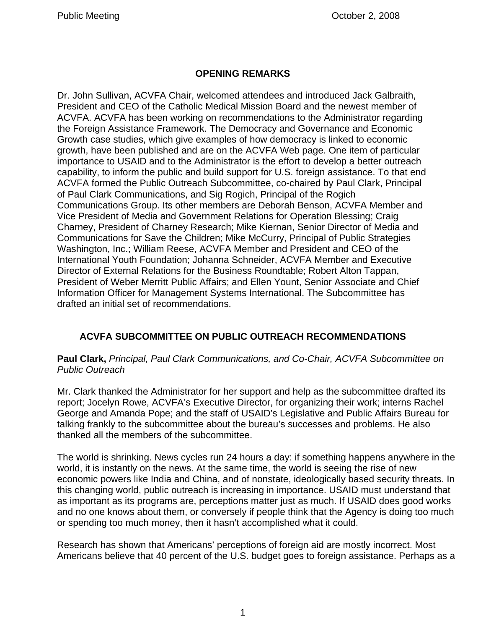## **OPENING REMARKS**

Dr. John Sullivan, ACVFA Chair, welcomed attendees and introduced Jack Galbraith, President and CEO of the Catholic Medical Mission Board and the newest member of ACVFA. ACVFA has been working on recommendations to the Administrator regarding the Foreign Assistance Framework. The Democracy and Governance and Economic Growth case studies, which give examples of how democracy is linked to economic growth, have been published and are on the ACVFA Web page. One item of particular importance to USAID and to the Administrator is the effort to develop a better outreach capability, to inform the public and build support for U.S. foreign assistance. To that end ACVFA formed the Public Outreach Subcommittee, co-chaired by Paul Clark, Principal of Paul Clark Communications, and Sig Rogich, Principal of the Rogich Communications Group. Its other members are Deborah Benson, ACVFA Member and Vice President of Media and Government Relations for Operation Blessing; Craig Charney, President of Charney Research; Mike Kiernan, Senior Director of Media and Communications for Save the Children; Mike McCurry, Principal of Public Strategies Washington, Inc.; William Reese, ACVFA Member and President and CEO of the International Youth Foundation; Johanna Schneider, ACVFA Member and Executive Director of External Relations for the Business Roundtable; Robert Alton Tappan, President of Weber Merritt Public Affairs; and Ellen Yount, Senior Associate and Chief Information Officer for Management Systems International. The Subcommittee has drafted an initial set of recommendations.

## **ACVFA SUBCOMMITTEE ON PUBLIC OUTREACH RECOMMENDATIONS**

#### **Paul Clark,** *Principal, Paul Clark Communications, and Co-Chair, ACVFA Subcommittee on Public Outreach*

Mr. Clark thanked the Administrator for her support and help as the subcommittee drafted its report; Jocelyn Rowe, ACVFA's Executive Director, for organizing their work; interns Rachel George and Amanda Pope; and the staff of USAID's Legislative and Public Affairs Bureau for talking frankly to the subcommittee about the bureau's successes and problems. He also thanked all the members of the subcommittee.

The world is shrinking. News cycles run 24 hours a day: if something happens anywhere in the world, it is instantly on the news. At the same time, the world is seeing the rise of new economic powers like India and China, and of nonstate, ideologically based security threats. In this changing world, public outreach is increasing in importance. USAID must understand that as important as its programs are, perceptions matter just as much. If USAID does good works and no one knows about them, or conversely if people think that the Agency is doing too much or spending too much money, then it hasn't accomplished what it could.

Research has shown that Americans' perceptions of foreign aid are mostly incorrect. Most Americans believe that 40 percent of the U.S. budget goes to foreign assistance. Perhaps as a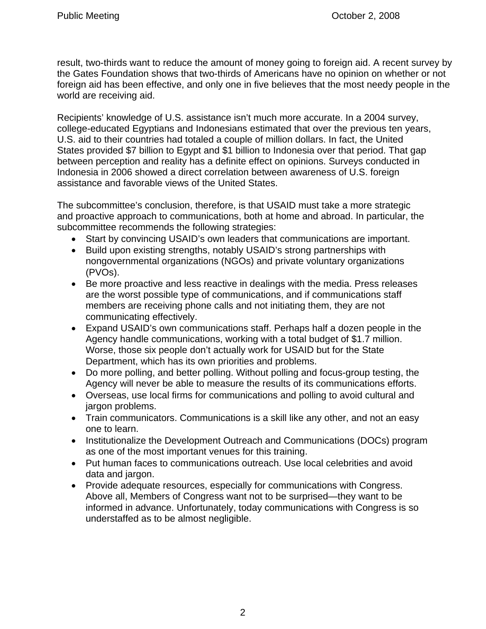result, two-thirds want to reduce the amount of money going to foreign aid. A recent survey by the Gates Foundation shows that two-thirds of Americans have no opinion on whether or not foreign aid has been effective, and only one in five believes that the most needy people in the world are receiving aid.

Recipients' knowledge of U.S. assistance isn't much more accurate. In a 2004 survey, college-educated Egyptians and Indonesians estimated that over the previous ten years, U.S. aid to their countries had totaled a couple of million dollars. In fact, the United States provided \$7 billion to Egypt and \$1 billion to Indonesia over that period. That gap between perception and reality has a definite effect on opinions. Surveys conducted in Indonesia in 2006 showed a direct correlation between awareness of U.S. foreign assistance and favorable views of the United States.

The subcommittee's conclusion, therefore, is that USAID must take a more strategic and proactive approach to communications, both at home and abroad. In particular, the subcommittee recommends the following strategies:

- Start by convincing USAID's own leaders that communications are important.
- Build upon existing strengths, notably USAID's strong partnerships with nongovernmental organizations (NGOs) and private voluntary organizations (PVOs).
- Be more proactive and less reactive in dealings with the media. Press releases are the worst possible type of communications, and if communications staff members are receiving phone calls and not initiating them, they are not communicating effectively.
- Expand USAID's own communications staff. Perhaps half a dozen people in the Agency handle communications, working with a total budget of \$1.7 million. Worse, those six people don't actually work for USAID but for the State Department, which has its own priorities and problems.
- Do more polling, and better polling. Without polling and focus-group testing, the Agency will never be able to measure the results of its communications efforts.
- Overseas, use local firms for communications and polling to avoid cultural and jargon problems.
- Train communicators. Communications is a skill like any other, and not an easy one to learn.
- Institutionalize the Development Outreach and Communications (DOCs) program as one of the most important venues for this training.
- Put human faces to communications outreach. Use local celebrities and avoid data and jargon.
- Provide adequate resources, especially for communications with Congress. Above all, Members of Congress want not to be surprised—they want to be informed in advance. Unfortunately, today communications with Congress is so understaffed as to be almost negligible.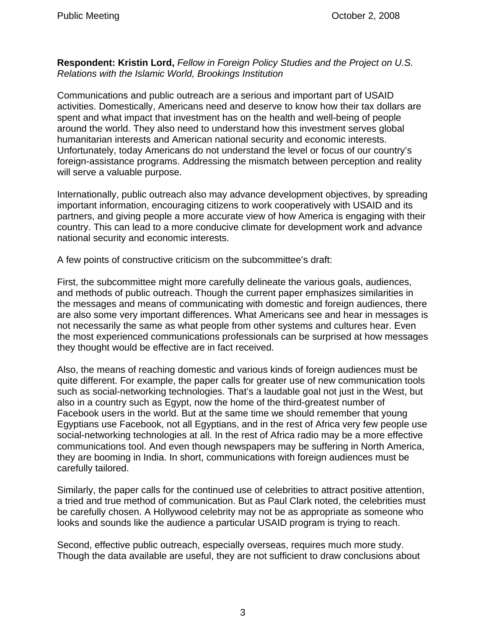**Respondent: Kristin Lord,** *Fellow in Foreign Policy Studies and the Project on U.S. Relations with the Islamic World, Brookings Institution*

Communications and public outreach are a serious and important part of USAID activities. Domestically, Americans need and deserve to know how their tax dollars are spent and what impact that investment has on the health and well-being of people around the world. They also need to understand how this investment serves global humanitarian interests and American national security and economic interests. Unfortunately, today Americans do not understand the level or focus of our country's foreign-assistance programs. Addressing the mismatch between perception and reality will serve a valuable purpose.

Internationally, public outreach also may advance development objectives, by spreading important information, encouraging citizens to work cooperatively with USAID and its partners, and giving people a more accurate view of how America is engaging with their country. This can lead to a more conducive climate for development work and advance national security and economic interests.

A few points of constructive criticism on the subcommittee's draft:

First, the subcommittee might more carefully delineate the various goals, audiences, and methods of public outreach. Though the current paper emphasizes similarities in the messages and means of communicating with domestic and foreign audiences, there are also some very important differences. What Americans see and hear in messages is not necessarily the same as what people from other systems and cultures hear. Even the most experienced communications professionals can be surprised at how messages they thought would be effective are in fact received.

Also, the means of reaching domestic and various kinds of foreign audiences must be quite different. For example, the paper calls for greater use of new communication tools such as social-networking technologies. That's a laudable goal not just in the West, but also in a country such as Egypt, now the home of the third-greatest number of Facebook users in the world. But at the same time we should remember that young Egyptians use Facebook, not all Egyptians, and in the rest of Africa very few people use social-networking technologies at all. In the rest of Africa radio may be a more effective communications tool. And even though newspapers may be suffering in North America, they are booming in India. In short, communications with foreign audiences must be carefully tailored.

Similarly, the paper calls for the continued use of celebrities to attract positive attention, a tried and true method of communication. But as Paul Clark noted, the celebrities must be carefully chosen. A Hollywood celebrity may not be as appropriate as someone who looks and sounds like the audience a particular USAID program is trying to reach.

Second, effective public outreach, especially overseas, requires much more study. Though the data available are useful, they are not sufficient to draw conclusions about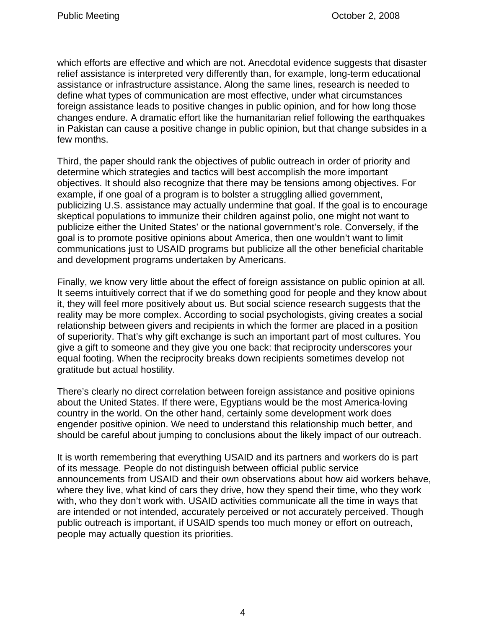which efforts are effective and which are not. Anecdotal evidence suggests that disaster relief assistance is interpreted very differently than, for example, long-term educational assistance or infrastructure assistance. Along the same lines, research is needed to define what types of communication are most effective, under what circumstances foreign assistance leads to positive changes in public opinion, and for how long those changes endure. A dramatic effort like the humanitarian relief following the earthquakes in Pakistan can cause a positive change in public opinion, but that change subsides in a few months.

Third, the paper should rank the objectives of public outreach in order of priority and determine which strategies and tactics will best accomplish the more important objectives. It should also recognize that there may be tensions among objectives. For example, if one goal of a program is to bolster a struggling allied government, publicizing U.S. assistance may actually undermine that goal. If the goal is to encourage skeptical populations to immunize their children against polio, one might not want to publicize either the United States' or the national government's role. Conversely, if the goal is to promote positive opinions about America, then one wouldn't want to limit communications just to USAID programs but publicize all the other beneficial charitable and development programs undertaken by Americans.

Finally, we know very little about the effect of foreign assistance on public opinion at all. It seems intuitively correct that if we do something good for people and they know about it, they will feel more positively about us. But social science research suggests that the reality may be more complex. According to social psychologists, giving creates a social relationship between givers and recipients in which the former are placed in a position of superiority. That's why gift exchange is such an important part of most cultures. You give a gift to someone and they give you one back: that reciprocity underscores your equal footing. When the reciprocity breaks down recipients sometimes develop not gratitude but actual hostility.

There's clearly no direct correlation between foreign assistance and positive opinions about the United States. If there were, Egyptians would be the most America-loving country in the world. On the other hand, certainly some development work does engender positive opinion. We need to understand this relationship much better, and should be careful about jumping to conclusions about the likely impact of our outreach.

It is worth remembering that everything USAID and its partners and workers do is part of its message. People do not distinguish between official public service announcements from USAID and their own observations about how aid workers behave, where they live, what kind of cars they drive, how they spend their time, who they work with, who they don't work with. USAID activities communicate all the time in ways that are intended or not intended, accurately perceived or not accurately perceived. Though public outreach is important, if USAID spends too much money or effort on outreach, people may actually question its priorities.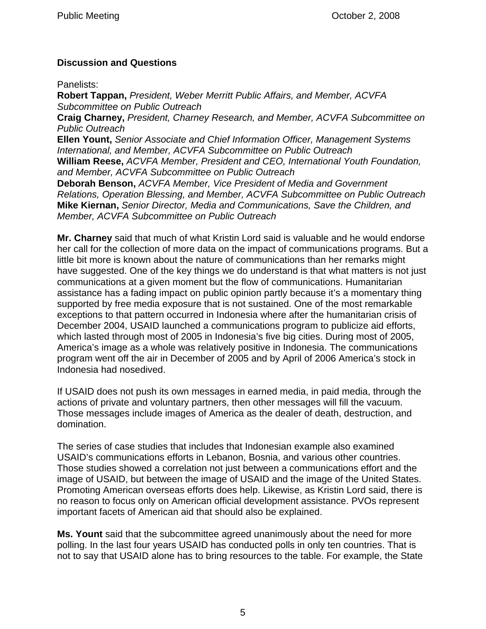## **Discussion and Questions**

Panelists:

**Robert Tappan,** *President, Weber Merritt Public Affairs, and Member, ACVFA Subcommittee on Public Outreach*  **Craig Charney,** *President, Charney Research, and Member, ACVFA Subcommittee on Public Outreach*  **Ellen Yount,** *Senior Associate and Chief Information Officer, Management Systems International, and Member, ACVFA Subcommittee on Public Outreach*  **William Reese,** *ACVFA Member, President and CEO, International Youth Foundation, and Member, ACVFA Subcommittee on Public Outreach*  **Deborah Benson,** *ACVFA Member, Vice President of Media and Government Relations, Operation Blessing, and Member, ACVFA Subcommittee on Public Outreach*  **Mike Kiernan,** *Senior Director, Media and Communications, Save the Children, and Member, ACVFA Subcommittee on Public Outreach* 

**Mr. Charney** said that much of what Kristin Lord said is valuable and he would endorse her call for the collection of more data on the impact of communications programs. But a little bit more is known about the nature of communications than her remarks might have suggested. One of the key things we do understand is that what matters is not just communications at a given moment but the flow of communications. Humanitarian assistance has a fading impact on public opinion partly because it's a momentary thing supported by free media exposure that is not sustained. One of the most remarkable exceptions to that pattern occurred in Indonesia where after the humanitarian crisis of December 2004, USAID launched a communications program to publicize aid efforts, which lasted through most of 2005 in Indonesia's five big cities. During most of 2005, America's image as a whole was relatively positive in Indonesia. The communications program went off the air in December of 2005 and by April of 2006 America's stock in Indonesia had nosedived.

If USAID does not push its own messages in earned media, in paid media, through the actions of private and voluntary partners, then other messages will fill the vacuum. Those messages include images of America as the dealer of death, destruction, and domination.

The series of case studies that includes that Indonesian example also examined USAID's communications efforts in Lebanon, Bosnia, and various other countries. Those studies showed a correlation not just between a communications effort and the image of USAID, but between the image of USAID and the image of the United States. Promoting American overseas efforts does help. Likewise, as Kristin Lord said, there is no reason to focus only on American official development assistance. PVOs represent important facets of American aid that should also be explained.

**Ms. Yount** said that the subcommittee agreed unanimously about the need for more polling. In the last four years USAID has conducted polls in only ten countries. That is not to say that USAID alone has to bring resources to the table. For example, the State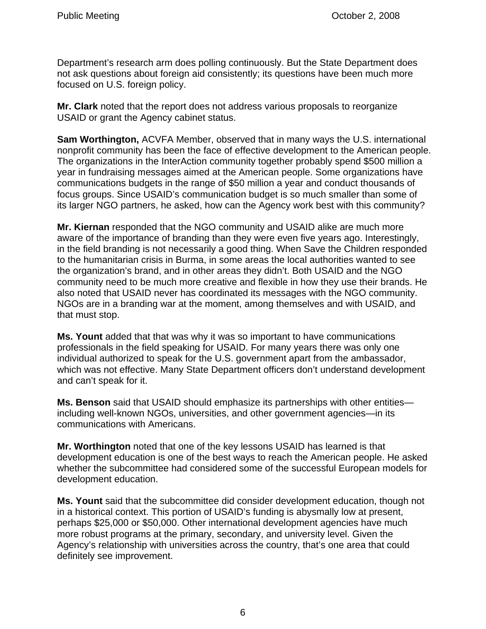Department's research arm does polling continuously. But the State Department does not ask questions about foreign aid consistently; its questions have been much more focused on U.S. foreign policy.

**Mr. Clark** noted that the report does not address various proposals to reorganize USAID or grant the Agency cabinet status.

**Sam Worthington,** ACVFA Member, observed that in many ways the U.S. international nonprofit community has been the face of effective development to the American people. The organizations in the InterAction community together probably spend \$500 million a year in fundraising messages aimed at the American people. Some organizations have communications budgets in the range of \$50 million a year and conduct thousands of focus groups. Since USAID's communication budget is so much smaller than some of its larger NGO partners, he asked, how can the Agency work best with this community?

**Mr. Kiernan** responded that the NGO community and USAID alike are much more aware of the importance of branding than they were even five years ago. Interestingly, in the field branding is not necessarily a good thing. When Save the Children responded to the humanitarian crisis in Burma, in some areas the local authorities wanted to see the organization's brand, and in other areas they didn't. Both USAID and the NGO community need to be much more creative and flexible in how they use their brands. He also noted that USAID never has coordinated its messages with the NGO community. NGOs are in a branding war at the moment, among themselves and with USAID, and that must stop.

**Ms. Yount** added that that was why it was so important to have communications professionals in the field speaking for USAID. For many years there was only one individual authorized to speak for the U.S. government apart from the ambassador, which was not effective. Many State Department officers don't understand development and can't speak for it.

**Ms. Benson** said that USAID should emphasize its partnerships with other entities including well-known NGOs, universities, and other government agencies—in its communications with Americans.

**Mr. Worthington** noted that one of the key lessons USAID has learned is that development education is one of the best ways to reach the American people. He asked whether the subcommittee had considered some of the successful European models for development education.

**Ms. Yount** said that the subcommittee did consider development education, though not in a historical context. This portion of USAID's funding is abysmally low at present, perhaps \$25,000 or \$50,000. Other international development agencies have much more robust programs at the primary, secondary, and university level. Given the Agency's relationship with universities across the country, that's one area that could definitely see improvement.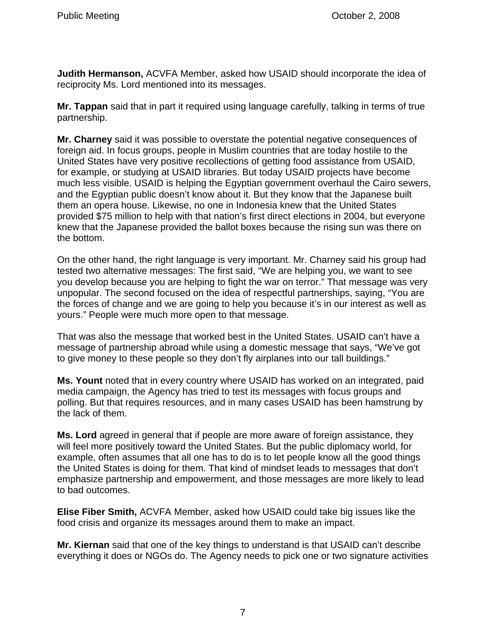**Judith Hermanson,** ACVFA Member, asked how USAID should incorporate the idea of reciprocity Ms. Lord mentioned into its messages.

**Mr. Tappan** said that in part it required using language carefully, talking in terms of true partnership.

**Mr. Charney** said it was possible to overstate the potential negative consequences of foreign aid. In focus groups, people in Muslim countries that are today hostile to the United States have very positive recollections of getting food assistance from USAID, for example, or studying at USAID libraries. But today USAID projects have become much less visible. USAID is helping the Egyptian government overhaul the Cairo sewers, and the Egyptian public doesn't know about it. But they know that the Japanese built them an opera house. Likewise, no one in Indonesia knew that the United States provided \$75 million to help with that nation's first direct elections in 2004, but everyone knew that the Japanese provided the ballot boxes because the rising sun was there on the bottom.

On the other hand, the right language is very important. Mr. Charney said his group had tested two alternative messages: The first said, "We are helping you, we want to see you develop because you are helping to fight the war on terror." That message was very unpopular. The second focused on the idea of respectful partnerships, saying, "You are the forces of change and we are going to help you because it's in our interest as well as yours." People were much more open to that message.

That was also the message that worked best in the United States. USAID can't have a message of partnership abroad while using a domestic message that says, "We've got to give money to these people so they don't fly airplanes into our tall buildings."

**Ms. Yount** noted that in every country where USAID has worked on an integrated, paid media campaign, the Agency has tried to test its messages with focus groups and polling. But that requires resources, and in many cases USAID has been hamstrung by the lack of them.

**Ms. Lord** agreed in general that if people are more aware of foreign assistance, they will feel more positively toward the United States. But the public diplomacy world, for example, often assumes that all one has to do is to let people know all the good things the United States is doing for them. That kind of mindset leads to messages that don't emphasize partnership and empowerment, and those messages are more likely to lead to bad outcomes.

**Elise Fiber Smith,** ACVFA Member, asked how USAID could take big issues like the food crisis and organize its messages around them to make an impact.

**Mr. Kiernan** said that one of the key things to understand is that USAID can't describe everything it does or NGOs do. The Agency needs to pick one or two signature activities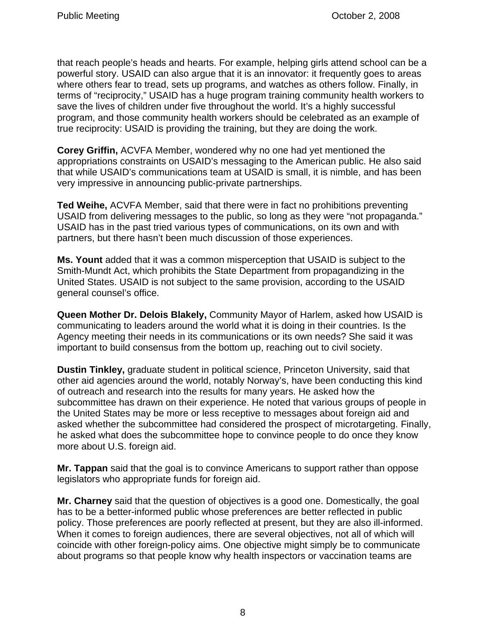that reach people's heads and hearts. For example, helping girls attend school can be a powerful story. USAID can also argue that it is an innovator: it frequently goes to areas where others fear to tread, sets up programs, and watches as others follow. Finally, in terms of "reciprocity," USAID has a huge program training community health workers to save the lives of children under five throughout the world. It's a highly successful program, and those community health workers should be celebrated as an example of true reciprocity: USAID is providing the training, but they are doing the work.

**Corey Griffin,** ACVFA Member, wondered why no one had yet mentioned the appropriations constraints on USAID's messaging to the American public. He also said that while USAID's communications team at USAID is small, it is nimble, and has been very impressive in announcing public-private partnerships.

**Ted Weihe,** ACVFA Member, said that there were in fact no prohibitions preventing USAID from delivering messages to the public, so long as they were "not propaganda." USAID has in the past tried various types of communications, on its own and with partners, but there hasn't been much discussion of those experiences.

**Ms. Yount** added that it was a common misperception that USAID is subject to the Smith-Mundt Act, which prohibits the State Department from propagandizing in the United States. USAID is not subject to the same provision, according to the USAID general counsel's office.

**Queen Mother Dr. Delois Blakely,** Community Mayor of Harlem, asked how USAID is communicating to leaders around the world what it is doing in their countries. Is the Agency meeting their needs in its communications or its own needs? She said it was important to build consensus from the bottom up, reaching out to civil society.

**Dustin Tinkley,** graduate student in political science, Princeton University, said that other aid agencies around the world, notably Norway's, have been conducting this kind of outreach and research into the results for many years. He asked how the subcommittee has drawn on their experience. He noted that various groups of people in the United States may be more or less receptive to messages about foreign aid and asked whether the subcommittee had considered the prospect of microtargeting. Finally, he asked what does the subcommittee hope to convince people to do once they know more about U.S. foreign aid.

**Mr. Tappan** said that the goal is to convince Americans to support rather than oppose legislators who appropriate funds for foreign aid.

**Mr. Charney** said that the question of objectives is a good one. Domestically, the goal has to be a better-informed public whose preferences are better reflected in public policy. Those preferences are poorly reflected at present, but they are also ill-informed. When it comes to foreign audiences, there are several objectives, not all of which will coincide with other foreign-policy aims. One objective might simply be to communicate about programs so that people know why health inspectors or vaccination teams are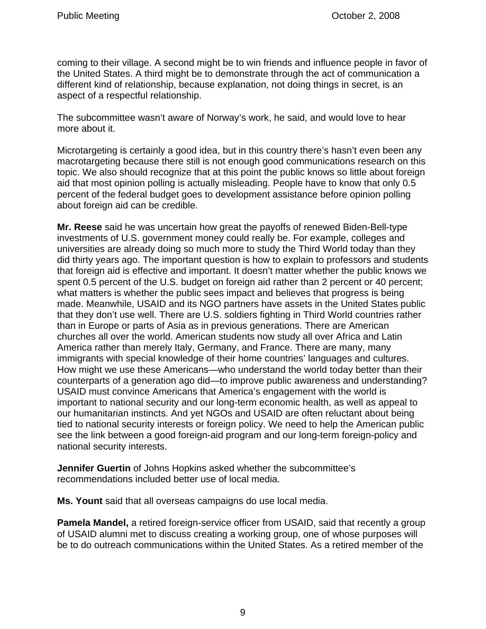coming to their village. A second might be to win friends and influence people in favor of the United States. A third might be to demonstrate through the act of communication a different kind of relationship, because explanation, not doing things in secret, is an aspect of a respectful relationship.

The subcommittee wasn't aware of Norway's work, he said, and would love to hear more about it.

Microtargeting is certainly a good idea, but in this country there's hasn't even been any macrotargeting because there still is not enough good communications research on this topic. We also should recognize that at this point the public knows so little about foreign aid that most opinion polling is actually misleading. People have to know that only 0.5 percent of the federal budget goes to development assistance before opinion polling about foreign aid can be credible.

**Mr. Reese** said he was uncertain how great the payoffs of renewed Biden-Bell-type investments of U.S. government money could really be. For example, colleges and universities are already doing so much more to study the Third World today than they did thirty years ago. The important question is how to explain to professors and students that foreign aid is effective and important. It doesn't matter whether the public knows we spent 0.5 percent of the U.S. budget on foreign aid rather than 2 percent or 40 percent; what matters is whether the public sees impact and believes that progress is being made. Meanwhile, USAID and its NGO partners have assets in the United States public that they don't use well. There are U.S. soldiers fighting in Third World countries rather than in Europe or parts of Asia as in previous generations. There are American churches all over the world. American students now study all over Africa and Latin America rather than merely Italy, Germany, and France. There are many, many immigrants with special knowledge of their home countries' languages and cultures. How might we use these Americans—who understand the world today better than their counterparts of a generation ago did—to improve public awareness and understanding? USAID must convince Americans that America's engagement with the world is important to national security and our long-term economic health, as well as appeal to our humanitarian instincts. And yet NGOs and USAID are often reluctant about being tied to national security interests or foreign policy. We need to help the American public see the link between a good foreign-aid program and our long-term foreign-policy and national security interests.

**Jennifer Guertin** of Johns Hopkins asked whether the subcommittee's recommendations included better use of local media.

**Ms. Yount** said that all overseas campaigns do use local media.

**Pamela Mandel,** a retired foreign-service officer from USAID, said that recently a group of USAID alumni met to discuss creating a working group, one of whose purposes will be to do outreach communications within the United States. As a retired member of the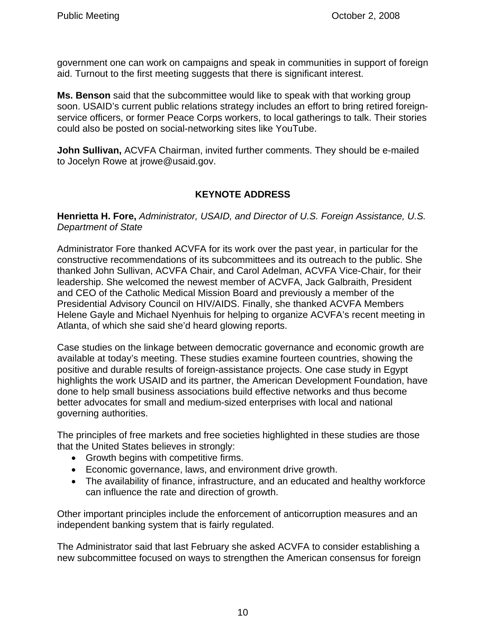government one can work on campaigns and speak in communities in support of foreign aid. Turnout to the first meeting suggests that there is significant interest.

**Ms. Benson** said that the subcommittee would like to speak with that working group soon. USAID's current public relations strategy includes an effort to bring retired foreignservice officers, or former Peace Corps workers, to local gatherings to talk. Their stories could also be posted on social-networking sites like YouTube.

**John Sullivan,** ACVFA Chairman, invited further comments. They should be e-mailed to Jocelyn Rowe at jrowe@usaid.gov.

# **KEYNOTE ADDRESS**

**Henrietta H. Fore,** *Administrator, USAID, and Director of U.S. Foreign Assistance, U.S. Department of State*

Administrator Fore thanked ACVFA for its work over the past year, in particular for the constructive recommendations of its subcommittees and its outreach to the public. She thanked John Sullivan, ACVFA Chair, and Carol Adelman, ACVFA Vice-Chair, for their leadership. She welcomed the newest member of ACVFA, Jack Galbraith, President and CEO of the Catholic Medical Mission Board and previously a member of the Presidential Advisory Council on HIV/AIDS. Finally, she thanked ACVFA Members Helene Gayle and Michael Nyenhuis for helping to organize ACVFA's recent meeting in Atlanta, of which she said she'd heard glowing reports.

Case studies on the linkage between democratic governance and economic growth are available at today's meeting. These studies examine fourteen countries, showing the positive and durable results of foreign-assistance projects. One case study in Egypt highlights the work USAID and its partner, the American Development Foundation, have done to help small business associations build effective networks and thus become better advocates for small and medium-sized enterprises with local and national governing authorities.

The principles of free markets and free societies highlighted in these studies are those that the United States believes in strongly:

- Growth begins with competitive firms.
- Economic governance, laws, and environment drive growth.
- The availability of finance, infrastructure, and an educated and healthy workforce can influence the rate and direction of growth.

Other important principles include the enforcement of anticorruption measures and an independent banking system that is fairly regulated.

The Administrator said that last February she asked ACVFA to consider establishing a new subcommittee focused on ways to strengthen the American consensus for foreign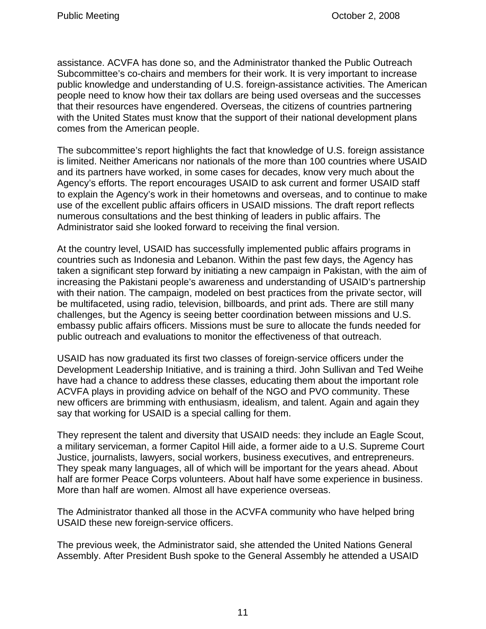assistance. ACVFA has done so, and the Administrator thanked the Public Outreach Subcommittee's co-chairs and members for their work. It is very important to increase public knowledge and understanding of U.S. foreign-assistance activities. The American people need to know how their tax dollars are being used overseas and the successes that their resources have engendered. Overseas, the citizens of countries partnering with the United States must know that the support of their national development plans comes from the American people.

The subcommittee's report highlights the fact that knowledge of U.S. foreign assistance is limited. Neither Americans nor nationals of the more than 100 countries where USAID and its partners have worked, in some cases for decades, know very much about the Agency's efforts. The report encourages USAID to ask current and former USAID staff to explain the Agency's work in their hometowns and overseas, and to continue to make use of the excellent public affairs officers in USAID missions. The draft report reflects numerous consultations and the best thinking of leaders in public affairs. The Administrator said she looked forward to receiving the final version.

At the country level, USAID has successfully implemented public affairs programs in countries such as Indonesia and Lebanon. Within the past few days, the Agency has taken a significant step forward by initiating a new campaign in Pakistan, with the aim of increasing the Pakistani people's awareness and understanding of USAID's partnership with their nation. The campaign, modeled on best practices from the private sector, will be multifaceted, using radio, television, billboards, and print ads. There are still many challenges, but the Agency is seeing better coordination between missions and U.S. embassy public affairs officers. Missions must be sure to allocate the funds needed for public outreach and evaluations to monitor the effectiveness of that outreach.

USAID has now graduated its first two classes of foreign-service officers under the Development Leadership Initiative, and is training a third. John Sullivan and Ted Weihe have had a chance to address these classes, educating them about the important role ACVFA plays in providing advice on behalf of the NGO and PVO community. These new officers are brimming with enthusiasm, idealism, and talent. Again and again they say that working for USAID is a special calling for them.

They represent the talent and diversity that USAID needs: they include an Eagle Scout, a military serviceman, a former Capitol Hill aide, a former aide to a U.S. Supreme Court Justice, journalists, lawyers, social workers, business executives, and entrepreneurs. They speak many languages, all of which will be important for the years ahead. About half are former Peace Corps volunteers. About half have some experience in business. More than half are women. Almost all have experience overseas.

The Administrator thanked all those in the ACVFA community who have helped bring USAID these new foreign-service officers.

The previous week, the Administrator said, she attended the United Nations General Assembly. After President Bush spoke to the General Assembly he attended a USAID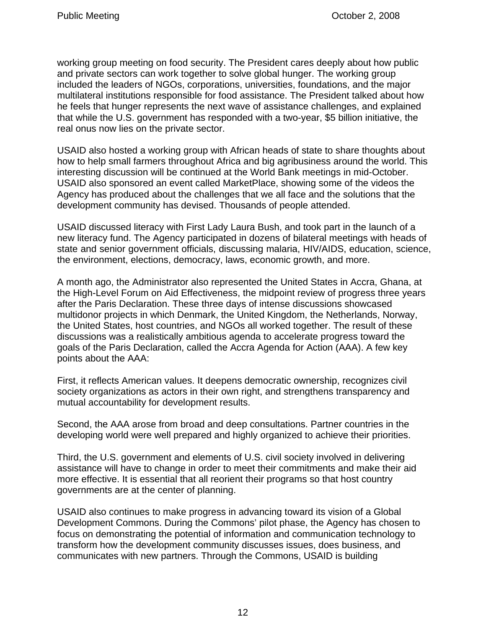working group meeting on food security. The President cares deeply about how public and private sectors can work together to solve global hunger. The working group included the leaders of NGOs, corporations, universities, foundations, and the major multilateral institutions responsible for food assistance. The President talked about how he feels that hunger represents the next wave of assistance challenges, and explained that while the U.S. government has responded with a two-year, \$5 billion initiative, the real onus now lies on the private sector.

USAID also hosted a working group with African heads of state to share thoughts about how to help small farmers throughout Africa and big agribusiness around the world. This interesting discussion will be continued at the World Bank meetings in mid-October. USAID also sponsored an event called MarketPlace, showing some of the videos the Agency has produced about the challenges that we all face and the solutions that the development community has devised. Thousands of people attended.

USAID discussed literacy with First Lady Laura Bush, and took part in the launch of a new literacy fund. The Agency participated in dozens of bilateral meetings with heads of state and senior government officials, discussing malaria, HIV/AIDS, education, science, the environment, elections, democracy, laws, economic growth, and more.

A month ago, the Administrator also represented the United States in Accra, Ghana, at the High-Level Forum on Aid Effectiveness, the midpoint review of progress three years after the Paris Declaration. These three days of intense discussions showcased multidonor projects in which Denmark, the United Kingdom, the Netherlands, Norway, the United States, host countries, and NGOs all worked together. The result of these discussions was a realistically ambitious agenda to accelerate progress toward the goals of the Paris Declaration, called the Accra Agenda for Action (AAA). A few key points about the AAA:

First, it reflects American values. It deepens democratic ownership, recognizes civil society organizations as actors in their own right, and strengthens transparency and mutual accountability for development results.

Second, the AAA arose from broad and deep consultations. Partner countries in the developing world were well prepared and highly organized to achieve their priorities.

Third, the U.S. government and elements of U.S. civil society involved in delivering assistance will have to change in order to meet their commitments and make their aid more effective. It is essential that all reorient their programs so that host country governments are at the center of planning.

USAID also continues to make progress in advancing toward its vision of a Global Development Commons. During the Commons' pilot phase, the Agency has chosen to focus on demonstrating the potential of information and communication technology to transform how the development community discusses issues, does business, and communicates with new partners. Through the Commons, USAID is building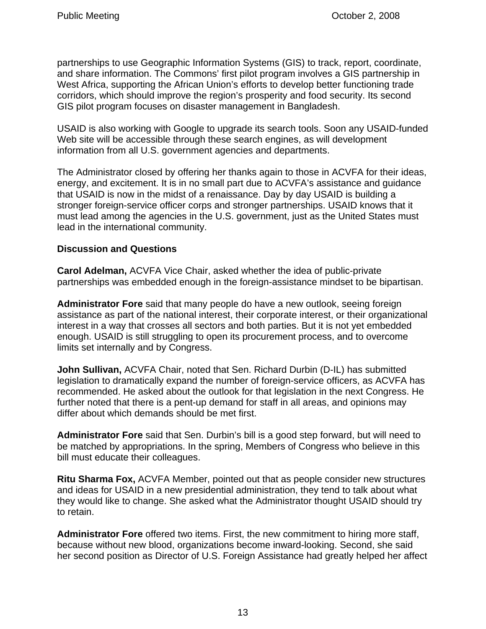partnerships to use Geographic Information Systems (GIS) to track, report, coordinate, and share information. The Commons' first pilot program involves a GIS partnership in West Africa, supporting the African Union's efforts to develop better functioning trade corridors, which should improve the region's prosperity and food security. Its second GIS pilot program focuses on disaster management in Bangladesh.

USAID is also working with Google to upgrade its search tools. Soon any USAID-funded Web site will be accessible through these search engines, as will development information from all U.S. government agencies and departments.

The Administrator closed by offering her thanks again to those in ACVFA for their ideas, energy, and excitement. It is in no small part due to ACVFA's assistance and guidance that USAID is now in the midst of a renaissance. Day by day USAID is building a stronger foreign-service officer corps and stronger partnerships. USAID knows that it must lead among the agencies in the U.S. government, just as the United States must lead in the international community.

### **Discussion and Questions**

**Carol Adelman,** ACVFA Vice Chair, asked whether the idea of public-private partnerships was embedded enough in the foreign-assistance mindset to be bipartisan.

**Administrator Fore** said that many people do have a new outlook, seeing foreign assistance as part of the national interest, their corporate interest, or their organizational interest in a way that crosses all sectors and both parties. But it is not yet embedded enough. USAID is still struggling to open its procurement process, and to overcome limits set internally and by Congress.

**John Sullivan,** ACVFA Chair, noted that Sen. Richard Durbin (D-IL) has submitted legislation to dramatically expand the number of foreign-service officers, as ACVFA has recommended. He asked about the outlook for that legislation in the next Congress. He further noted that there is a pent-up demand for staff in all areas, and opinions may differ about which demands should be met first.

**Administrator Fore** said that Sen. Durbin's bill is a good step forward, but will need to be matched by appropriations. In the spring, Members of Congress who believe in this bill must educate their colleagues.

**Ritu Sharma Fox,** ACVFA Member, pointed out that as people consider new structures and ideas for USAID in a new presidential administration, they tend to talk about what they would like to change. She asked what the Administrator thought USAID should try to retain.

**Administrator Fore** offered two items. First, the new commitment to hiring more staff, because without new blood, organizations become inward-looking. Second, she said her second position as Director of U.S. Foreign Assistance had greatly helped her affect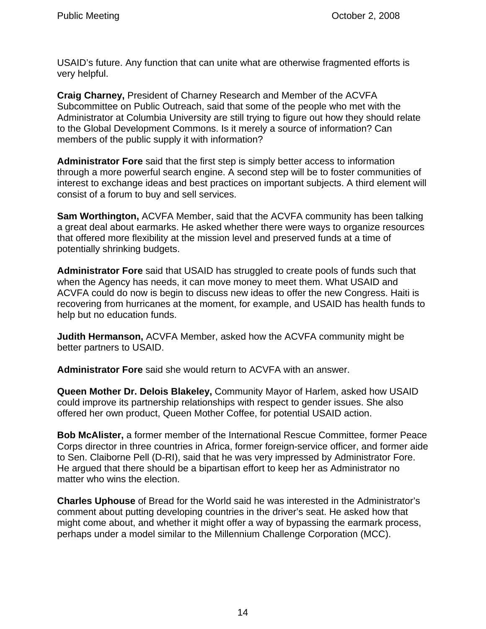USAID's future. Any function that can unite what are otherwise fragmented efforts is very helpful.

**Craig Charney,** President of Charney Research and Member of the ACVFA Subcommittee on Public Outreach, said that some of the people who met with the Administrator at Columbia University are still trying to figure out how they should relate to the Global Development Commons. Is it merely a source of information? Can members of the public supply it with information?

**Administrator Fore** said that the first step is simply better access to information through a more powerful search engine. A second step will be to foster communities of interest to exchange ideas and best practices on important subjects. A third element will consist of a forum to buy and sell services.

**Sam Worthington,** ACVFA Member, said that the ACVFA community has been talking a great deal about earmarks. He asked whether there were ways to organize resources that offered more flexibility at the mission level and preserved funds at a time of potentially shrinking budgets.

**Administrator Fore** said that USAID has struggled to create pools of funds such that when the Agency has needs, it can move money to meet them. What USAID and ACVFA could do now is begin to discuss new ideas to offer the new Congress. Haiti is recovering from hurricanes at the moment, for example, and USAID has health funds to help but no education funds.

**Judith Hermanson,** ACVFA Member, asked how the ACVFA community might be better partners to USAID.

**Administrator Fore** said she would return to ACVFA with an answer.

**Queen Mother Dr. Delois Blakeley,** Community Mayor of Harlem, asked how USAID could improve its partnership relationships with respect to gender issues. She also offered her own product, Queen Mother Coffee, for potential USAID action.

**Bob McAlister,** a former member of the International Rescue Committee, former Peace Corps director in three countries in Africa, former foreign-service officer, and former aide to Sen. Claiborne Pell (D-RI), said that he was very impressed by Administrator Fore. He argued that there should be a bipartisan effort to keep her as Administrator no matter who wins the election.

**Charles Uphouse** of Bread for the World said he was interested in the Administrator's comment about putting developing countries in the driver's seat. He asked how that might come about, and whether it might offer a way of bypassing the earmark process, perhaps under a model similar to the Millennium Challenge Corporation (MCC).